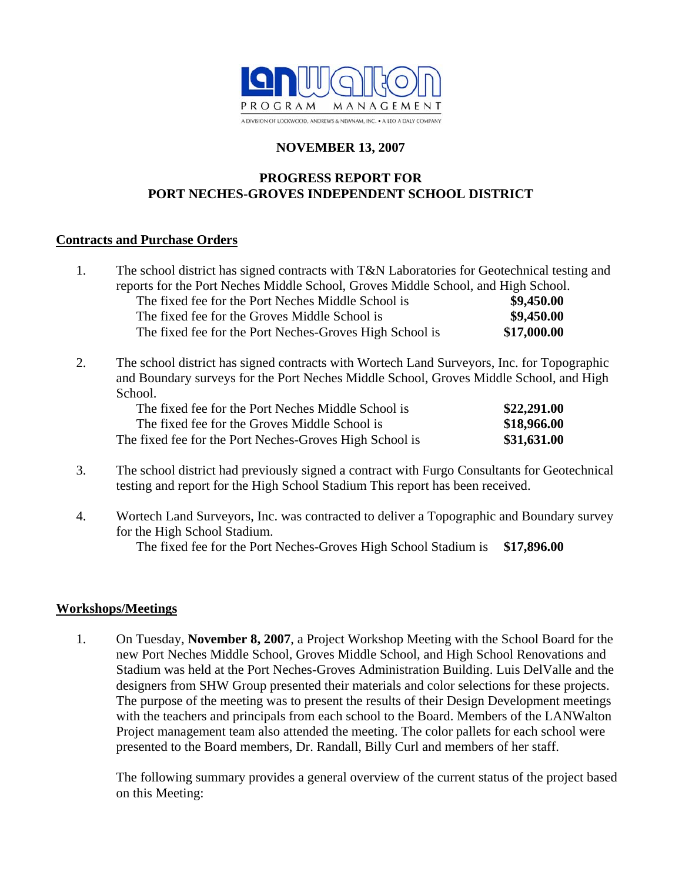

# **NOVEMBER 13, 2007**

### **PROGRESS REPORT FOR PORT NECHES-GROVES INDEPENDENT SCHOOL DISTRICT**

#### **Contracts and Purchase Orders**

| 1. | The school district has signed contracts with T&N Laboratories for Geotechnical testing and<br>reports for the Port Neches Middle School, Groves Middle School, and High School.                |             |  |
|----|-------------------------------------------------------------------------------------------------------------------------------------------------------------------------------------------------|-------------|--|
|    |                                                                                                                                                                                                 |             |  |
|    | The fixed fee for the Port Neches Middle School is                                                                                                                                              | \$9,450.00  |  |
|    | The fixed fee for the Groves Middle School is                                                                                                                                                   | \$9,450.00  |  |
|    | The fixed fee for the Port Neches-Groves High School is                                                                                                                                         | \$17,000.00 |  |
| 2. | The school district has signed contracts with Wortech Land Surveyors, Inc. for Topographic<br>and Boundary surveys for the Port Neches Middle School, Groves Middle School, and High<br>School. |             |  |

| \$22,291.00 | The fixed fee for the Port Neches Middle School is      |
|-------------|---------------------------------------------------------|
| \$18,966.00 | The fixed fee for the Groves Middle School is           |
| \$31,631.00 | The fixed fee for the Port Neches-Groves High School is |

- 3. The school district had previously signed a contract with Furgo Consultants for Geotechnical testing and report for the High School Stadium This report has been received.
- 4. Wortech Land Surveyors, Inc. was contracted to deliver a Topographic and Boundary survey for the High School Stadium. The fixed fee for the Port Neches-Groves High School Stadium is **\$17,896.00**

#### **Workshops/Meetings**

1. On Tuesday, **November 8, 2007**, a Project Workshop Meeting with the School Board for the new Port Neches Middle School, Groves Middle School, and High School Renovations and Stadium was held at the Port Neches-Groves Administration Building. Luis DelValle and the designers from SHW Group presented their materials and color selections for these projects. The purpose of the meeting was to present the results of their Design Development meetings with the teachers and principals from each school to the Board. Members of the LANWalton Project management team also attended the meeting. The color pallets for each school were presented to the Board members, Dr. Randall, Billy Curl and members of her staff.

 The following summary provides a general overview of the current status of the project based on this Meeting: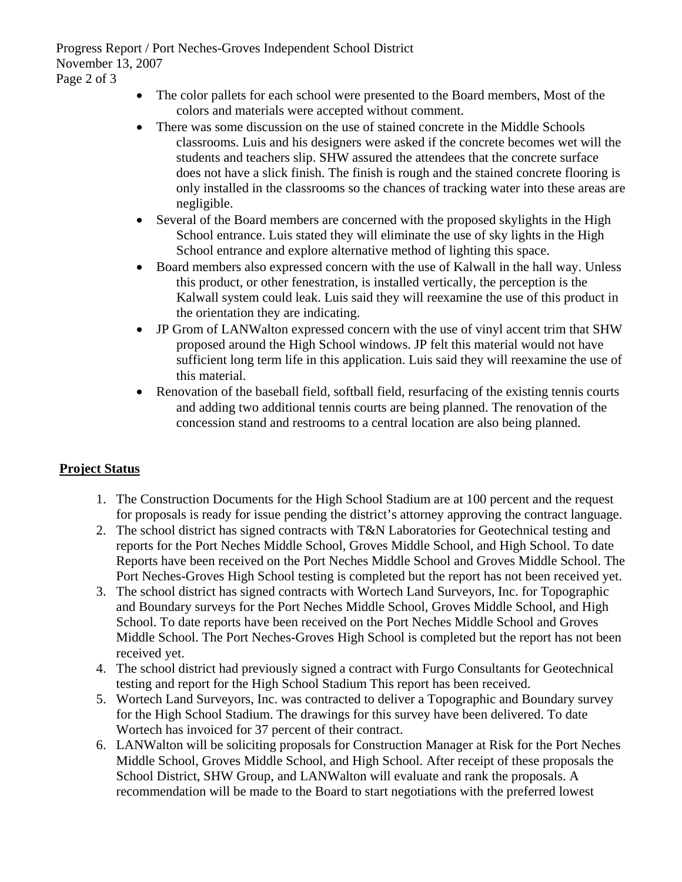Progress Report / Port Neches-Groves Independent School District November 13, 2007

- Page 2 of 3
- The color pallets for each school were presented to the Board members, Most of the colors and materials were accepted without comment.
- There was some discussion on the use of stained concrete in the Middle Schools classrooms. Luis and his designers were asked if the concrete becomes wet will the students and teachers slip. SHW assured the attendees that the concrete surface does not have a slick finish. The finish is rough and the stained concrete flooring is only installed in the classrooms so the chances of tracking water into these areas are negligible.
- Several of the Board members are concerned with the proposed skylights in the High School entrance. Luis stated they will eliminate the use of sky lights in the High School entrance and explore alternative method of lighting this space.
- Board members also expressed concern with the use of Kalwall in the hall way. Unless this product, or other fenestration, is installed vertically, the perception is the Kalwall system could leak. Luis said they will reexamine the use of this product in the orientation they are indicating.
- JP Grom of LANWalton expressed concern with the use of vinyl accent trim that SHW proposed around the High School windows. JP felt this material would not have sufficient long term life in this application. Luis said they will reexamine the use of this material.
- Renovation of the baseball field, softball field, resurfacing of the existing tennis courts and adding two additional tennis courts are being planned. The renovation of the concession stand and restrooms to a central location are also being planned.

## **Project Status**

- 1. The Construction Documents for the High School Stadium are at 100 percent and the request for proposals is ready for issue pending the district's attorney approving the contract language.
- 2. The school district has signed contracts with T&N Laboratories for Geotechnical testing and reports for the Port Neches Middle School, Groves Middle School, and High School. To date Reports have been received on the Port Neches Middle School and Groves Middle School. The Port Neches-Groves High School testing is completed but the report has not been received yet.
- 3. The school district has signed contracts with Wortech Land Surveyors, Inc. for Topographic and Boundary surveys for the Port Neches Middle School, Groves Middle School, and High School. To date reports have been received on the Port Neches Middle School and Groves Middle School. The Port Neches-Groves High School is completed but the report has not been received yet.
- 4. The school district had previously signed a contract with Furgo Consultants for Geotechnical testing and report for the High School Stadium This report has been received.
- 5. Wortech Land Surveyors, Inc. was contracted to deliver a Topographic and Boundary survey for the High School Stadium. The drawings for this survey have been delivered. To date Wortech has invoiced for 37 percent of their contract.
- 6. LANWalton will be soliciting proposals for Construction Manager at Risk for the Port Neches Middle School, Groves Middle School, and High School. After receipt of these proposals the School District, SHW Group, and LANWalton will evaluate and rank the proposals. A recommendation will be made to the Board to start negotiations with the preferred lowest